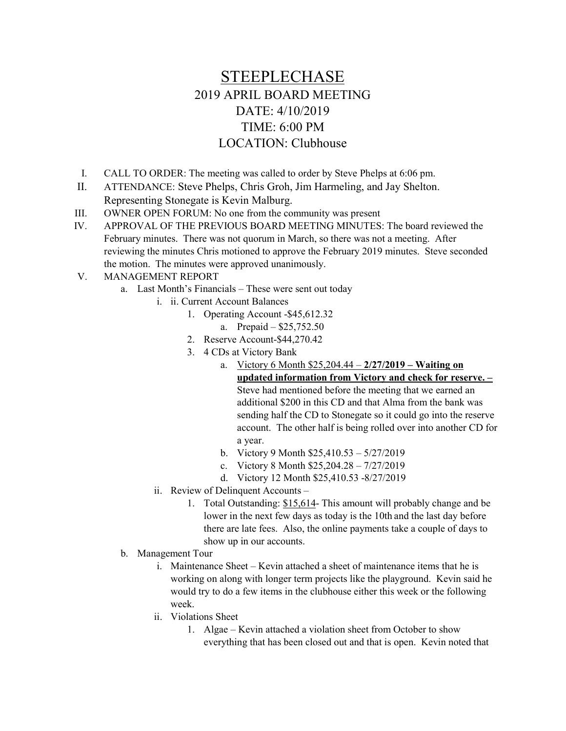## STEEPLECHASE 2019 APRIL BOARD MEETING DATE: 4/10/2019 TIME: 6:00 PM LOCATION: Clubhouse

- I. CALL TO ORDER: The meeting was called to order by Steve Phelps at 6:06 pm.
- II. ATTENDANCE: Steve Phelps, Chris Groh, Jim Harmeling, and Jay Shelton. Representing Stonegate is Kevin Malburg.
- III. OWNER OPEN FORUM: No one from the community was present
- IV. APPROVAL OF THE PREVIOUS BOARD MEETING MINUTES: The board reviewed the February minutes. There was not quorum in March, so there was not a meeting. After reviewing the minutes Chris motioned to approve the February 2019 minutes. Steve seconded the motion. The minutes were approved unanimously.
- V. MANAGEMENT REPORT
	- a. Last Month's Financials These were sent out today
		- i. ii. Current Account Balances
			- 1. Operating Account -\$45,612.32
				- a. Prepaid \$25,752.50
				- 2. Reserve Account-\$44,270.42
				- 3. 4 CDs at Victory Bank
					- a. Victory 6 Month  $$25,204.44 2/27/2019 Waiting on$ updated information from Victory and check for reserve. – Steve had mentioned before the meeting that we earned an additional \$200 in this CD and that Alma from the bank was sending half the CD to Stonegate so it could go into the reserve account. The other half is being rolled over into another CD for a year.
					- b. Victory 9 Month \$25,410.53 5/27/2019
					- c. Victory 8 Month \$25,204.28 7/27/2019
					- d. Victory 12 Month \$25,410.53 -8/27/2019
		- ii. Review of Delinquent Accounts
			- 1. Total Outstanding: \$15,614- This amount will probably change and be lower in the next few days as today is the 10th and the last day before there are late fees. Also, the online payments take a couple of days to show up in our accounts.
	- b. Management Tour
		- i. Maintenance Sheet Kevin attached a sheet of maintenance items that he is working on along with longer term projects like the playground. Kevin said he would try to do a few items in the clubhouse either this week or the following week.
		- ii. Violations Sheet
			- 1. Algae Kevin attached a violation sheet from October to show everything that has been closed out and that is open. Kevin noted that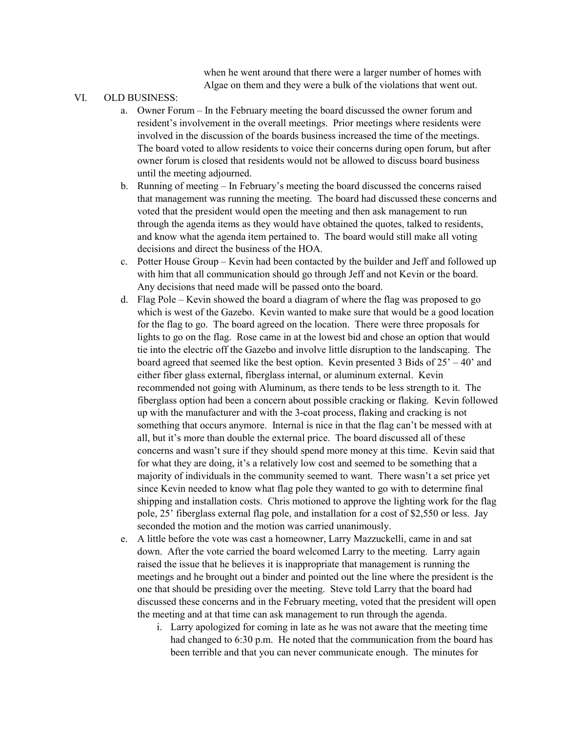when he went around that there were a larger number of homes with Algae on them and they were a bulk of the violations that went out.

## VI. OLD BUSINESS:

- a. Owner Forum In the February meeting the board discussed the owner forum and resident's involvement in the overall meetings. Prior meetings where residents were involved in the discussion of the boards business increased the time of the meetings. The board voted to allow residents to voice their concerns during open forum, but after owner forum is closed that residents would not be allowed to discuss board business until the meeting adjourned.
- b. Running of meeting In February's meeting the board discussed the concerns raised that management was running the meeting. The board had discussed these concerns and voted that the president would open the meeting and then ask management to run through the agenda items as they would have obtained the quotes, talked to residents, and know what the agenda item pertained to. The board would still make all voting decisions and direct the business of the HOA.
- c. Potter House Group Kevin had been contacted by the builder and Jeff and followed up with him that all communication should go through Jeff and not Kevin or the board. Any decisions that need made will be passed onto the board.
- d. Flag Pole Kevin showed the board a diagram of where the flag was proposed to go which is west of the Gazebo. Kevin wanted to make sure that would be a good location for the flag to go. The board agreed on the location. There were three proposals for lights to go on the flag. Rose came in at the lowest bid and chose an option that would tie into the electric off the Gazebo and involve little disruption to the landscaping. The board agreed that seemed like the best option. Kevin presented 3 Bids of  $25' - 40'$  and either fiber glass external, fiberglass internal, or aluminum external. Kevin recommended not going with Aluminum, as there tends to be less strength to it. The fiberglass option had been a concern about possible cracking or flaking. Kevin followed up with the manufacturer and with the 3-coat process, flaking and cracking is not something that occurs anymore. Internal is nice in that the flag can't be messed with at all, but it's more than double the external price. The board discussed all of these concerns and wasn't sure if they should spend more money at this time. Kevin said that for what they are doing, it's a relatively low cost and seemed to be something that a majority of individuals in the community seemed to want. There wasn't a set price yet since Kevin needed to know what flag pole they wanted to go with to determine final shipping and installation costs. Chris motioned to approve the lighting work for the flag pole, 25' fiberglass external flag pole, and installation for a cost of \$2,550 or less. Jay seconded the motion and the motion was carried unanimously.
- e. A little before the vote was cast a homeowner, Larry Mazzuckelli, came in and sat down. After the vote carried the board welcomed Larry to the meeting. Larry again raised the issue that he believes it is inappropriate that management is running the meetings and he brought out a binder and pointed out the line where the president is the one that should be presiding over the meeting. Steve told Larry that the board had discussed these concerns and in the February meeting, voted that the president will open the meeting and at that time can ask management to run through the agenda.
	- i. Larry apologized for coming in late as he was not aware that the meeting time had changed to 6:30 p.m. He noted that the communication from the board has been terrible and that you can never communicate enough. The minutes for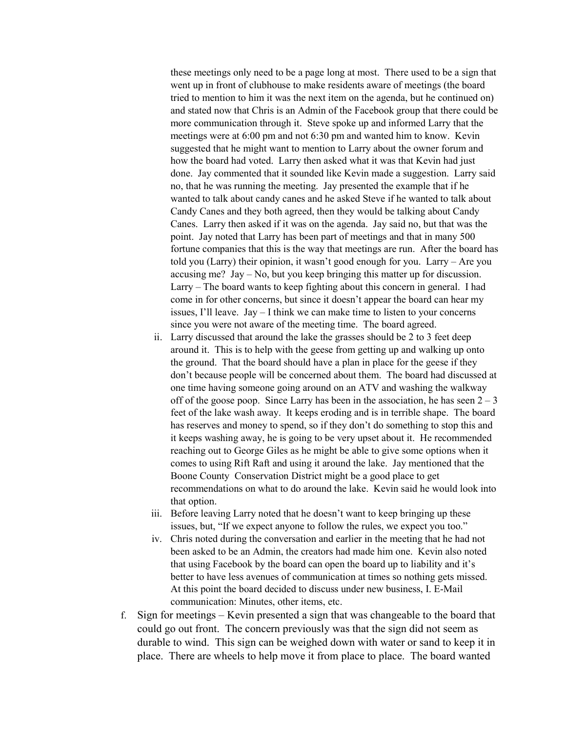these meetings only need to be a page long at most. There used to be a sign that went up in front of clubhouse to make residents aware of meetings (the board tried to mention to him it was the next item on the agenda, but he continued on) and stated now that Chris is an Admin of the Facebook group that there could be more communication through it. Steve spoke up and informed Larry that the meetings were at 6:00 pm and not 6:30 pm and wanted him to know. Kevin suggested that he might want to mention to Larry about the owner forum and how the board had voted. Larry then asked what it was that Kevin had just done. Jay commented that it sounded like Kevin made a suggestion. Larry said no, that he was running the meeting. Jay presented the example that if he wanted to talk about candy canes and he asked Steve if he wanted to talk about Candy Canes and they both agreed, then they would be talking about Candy Canes. Larry then asked if it was on the agenda. Jay said no, but that was the point. Jay noted that Larry has been part of meetings and that in many 500 fortune companies that this is the way that meetings are run. After the board has told you (Larry) their opinion, it wasn't good enough for you. Larry – Are you accusing me? Jay – No, but you keep bringing this matter up for discussion. Larry – The board wants to keep fighting about this concern in general. I had come in for other concerns, but since it doesn't appear the board can hear my issues, I'll leave. Jay – I think we can make time to listen to your concerns since you were not aware of the meeting time. The board agreed.

- ii. Larry discussed that around the lake the grasses should be 2 to 3 feet deep around it. This is to help with the geese from getting up and walking up onto the ground. That the board should have a plan in place for the geese if they don't because people will be concerned about them. The board had discussed at one time having someone going around on an ATV and washing the walkway off of the goose poop. Since Larry has been in the association, he has seen  $2 - 3$ feet of the lake wash away. It keeps eroding and is in terrible shape. The board has reserves and money to spend, so if they don't do something to stop this and it keeps washing away, he is going to be very upset about it. He recommended reaching out to George Giles as he might be able to give some options when it comes to using Rift Raft and using it around the lake. Jay mentioned that the Boone County Conservation District might be a good place to get recommendations on what to do around the lake. Kevin said he would look into that option.
- iii. Before leaving Larry noted that he doesn't want to keep bringing up these issues, but, "If we expect anyone to follow the rules, we expect you too."
- iv. Chris noted during the conversation and earlier in the meeting that he had not been asked to be an Admin, the creators had made him one. Kevin also noted that using Facebook by the board can open the board up to liability and it's better to have less avenues of communication at times so nothing gets missed. At this point the board decided to discuss under new business, I. E-Mail communication: Minutes, other items, etc.
- f. Sign for meetings Kevin presented a sign that was changeable to the board that could go out front. The concern previously was that the sign did not seem as durable to wind. This sign can be weighed down with water or sand to keep it in place. There are wheels to help move it from place to place. The board wanted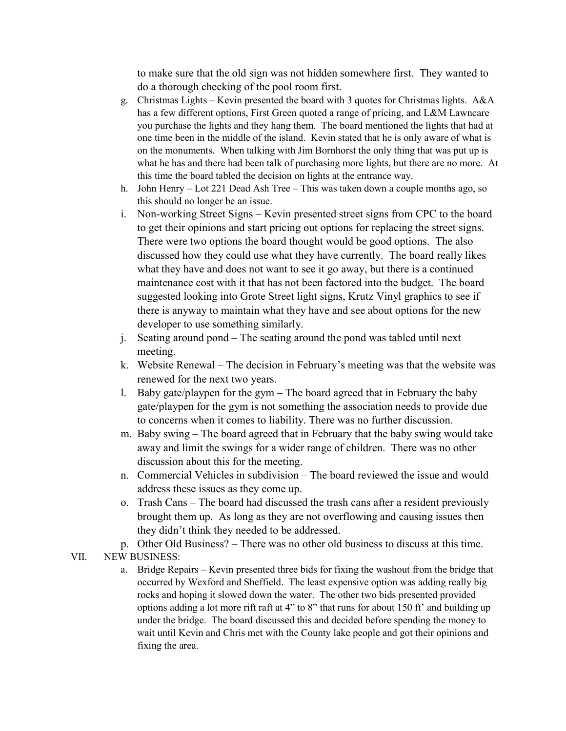to make sure that the old sign was not hidden somewhere first. They wanted to do a thorough checking of the pool room first.

- g. Christmas Lights Kevin presented the board with 3 quotes for Christmas lights. A&A has a few different options, First Green quoted a range of pricing, and L&M Lawncare you purchase the lights and they hang them. The board mentioned the lights that had at one time been in the middle of the island. Kevin stated that he is only aware of what is on the monuments. When talking with Jim Bornhorst the only thing that was put up is what he has and there had been talk of purchasing more lights, but there are no more. At this time the board tabled the decision on lights at the entrance way.
- h. John Henry Lot 221 Dead Ash Tree This was taken down a couple months ago, so this should no longer be an issue.
- i. Non-working Street Signs Kevin presented street signs from CPC to the board to get their opinions and start pricing out options for replacing the street signs. There were two options the board thought would be good options. The also discussed how they could use what they have currently. The board really likes what they have and does not want to see it go away, but there is a continued maintenance cost with it that has not been factored into the budget. The board suggested looking into Grote Street light signs, Krutz Vinyl graphics to see if there is anyway to maintain what they have and see about options for the new developer to use something similarly.
- j. Seating around pond The seating around the pond was tabled until next meeting.
- k. Website Renewal The decision in February's meeting was that the website was renewed for the next two years.
- l. Baby gate/playpen for the gym The board agreed that in February the baby gate/playpen for the gym is not something the association needs to provide due to concerns when it comes to liability. There was no further discussion.
- m. Baby swing The board agreed that in February that the baby swing would take away and limit the swings for a wider range of children. There was no other discussion about this for the meeting.
- n. Commercial Vehicles in subdivision The board reviewed the issue and would address these issues as they come up.
- o. Trash Cans The board had discussed the trash cans after a resident previously brought them up. As long as they are not overflowing and causing issues then they didn't think they needed to be addressed.
- p. Other Old Business? There was no other old business to discuss at this time.

## VII. NEW BUSINESS:

a. Bridge Repairs – Kevin presented three bids for fixing the washout from the bridge that occurred by Wexford and Sheffield. The least expensive option was adding really big rocks and hoping it slowed down the water. The other two bids presented provided options adding a lot more rift raft at 4" to 8" that runs for about 150 ft' and building up under the bridge. The board discussed this and decided before spending the money to wait until Kevin and Chris met with the County lake people and got their opinions and fixing the area.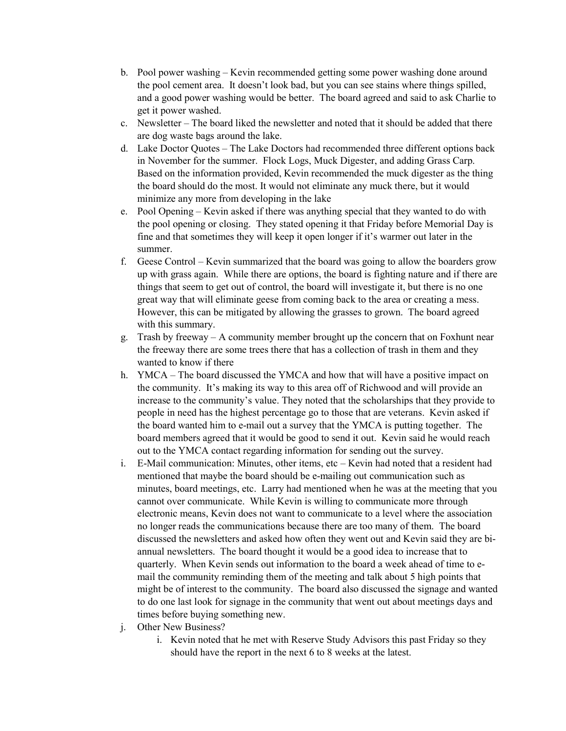- b. Pool power washing Kevin recommended getting some power washing done around the pool cement area. It doesn't look bad, but you can see stains where things spilled, and a good power washing would be better. The board agreed and said to ask Charlie to get it power washed.
- c. Newsletter The board liked the newsletter and noted that it should be added that there are dog waste bags around the lake.
- d. Lake Doctor Quotes The Lake Doctors had recommended three different options back in November for the summer. Flock Logs, Muck Digester, and adding Grass Carp. Based on the information provided, Kevin recommended the muck digester as the thing the board should do the most. It would not eliminate any muck there, but it would minimize any more from developing in the lake
- e. Pool Opening Kevin asked if there was anything special that they wanted to do with the pool opening or closing. They stated opening it that Friday before Memorial Day is fine and that sometimes they will keep it open longer if it's warmer out later in the summer.
- f. Geese Control Kevin summarized that the board was going to allow the boarders grow up with grass again. While there are options, the board is fighting nature and if there are things that seem to get out of control, the board will investigate it, but there is no one great way that will eliminate geese from coming back to the area or creating a mess. However, this can be mitigated by allowing the grasses to grown. The board agreed with this summary.
- g. Trash by freeway A community member brought up the concern that on Foxhunt near the freeway there are some trees there that has a collection of trash in them and they wanted to know if there
- h. YMCA The board discussed the YMCA and how that will have a positive impact on the community. It's making its way to this area off of Richwood and will provide an increase to the community's value. They noted that the scholarships that they provide to people in need has the highest percentage go to those that are veterans. Kevin asked if the board wanted him to e-mail out a survey that the YMCA is putting together. The board members agreed that it would be good to send it out. Kevin said he would reach out to the YMCA contact regarding information for sending out the survey.
- i. E-Mail communication: Minutes, other items, etc Kevin had noted that a resident had mentioned that maybe the board should be e-mailing out communication such as minutes, board meetings, etc. Larry had mentioned when he was at the meeting that you cannot over communicate. While Kevin is willing to communicate more through electronic means, Kevin does not want to communicate to a level where the association no longer reads the communications because there are too many of them. The board discussed the newsletters and asked how often they went out and Kevin said they are biannual newsletters. The board thought it would be a good idea to increase that to quarterly. When Kevin sends out information to the board a week ahead of time to email the community reminding them of the meeting and talk about 5 high points that might be of interest to the community. The board also discussed the signage and wanted to do one last look for signage in the community that went out about meetings days and times before buying something new.
- j. Other New Business?
	- i. Kevin noted that he met with Reserve Study Advisors this past Friday so they should have the report in the next 6 to 8 weeks at the latest.